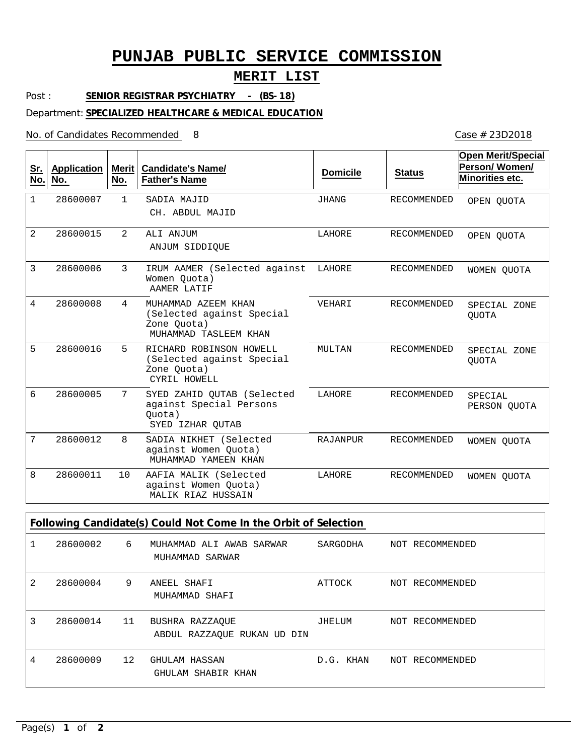# **PUNJAB PUBLIC SERVICE COMMISSION**

## **MERIT LIST**

Post : **SENIOR REGISTRAR PSYCHIATRY - (BS-18)**

#### Department: **SPECIALIZED HEALTHCARE & MEDICAL EDUCATION**

No. of Candidates Recommended

**Open Merit/Special** Case # 23D2018

| <u>Sr.</u><br>No.                                               | <b>Application</b><br>No. | Merit<br>No.  | <b>Candidate's Name/</b><br><b>Father's Name</b>                                         | <b>Domicile</b> | <b>Status</b>      | Open Merit/Special<br>Person/Women/<br>Minorities etc. |
|-----------------------------------------------------------------|---------------------------|---------------|------------------------------------------------------------------------------------------|-----------------|--------------------|--------------------------------------------------------|
| $\mathbf{1}$                                                    | 28600007                  | 1             | SADIA MAJID<br>CH. ABDUL MAJID                                                           | <b>JHANG</b>    | <b>RECOMMENDED</b> | OPEN QUOTA                                             |
| 2                                                               | 28600015                  | $\mathcal{L}$ | ALI ANJUM<br>ANJUM SIDDIOUE                                                              | LAHORE          | <b>RECOMMENDED</b> | OPEN OUOTA                                             |
| 3                                                               | 28600006                  | 3             | IRUM AAMER (Selected against<br>Women Quota)<br>AAMER LATIF                              | LAHORE          | <b>RECOMMENDED</b> | WOMEN OUOTA                                            |
| 4                                                               | 28600008                  | 4             | MUHAMMAD AZEEM KHAN<br>(Selected against Special<br>Zone Quota)<br>MUHAMMAD TASLEEM KHAN | VEHARI          | <b>RECOMMENDED</b> | SPECIAL ZONE<br><b>OUOTA</b>                           |
| 5                                                               | 28600016                  | 5             | RICHARD ROBINSON HOWELL<br>(Selected against Special<br>Zone Ouota)<br>CYRIL HOWELL      | MULTAN          | <b>RECOMMENDED</b> | SPECIAL ZONE<br><b>OUOTA</b>                           |
| 6                                                               | 28600005                  | 7             | SYED ZAHID OUTAB (Selected<br>against Special Persons<br>Quota)<br>SYED IZHAR QUTAB      | LAHORE          | <b>RECOMMENDED</b> | SPECIAL<br>PERSON QUOTA                                |
| 7                                                               | 28600012                  | 8             | SADIA NIKHET (Selected<br>against Women Quota)<br>MUHAMMAD YAMEEN KHAN                   | RAJANPUR        | <b>RECOMMENDED</b> | WOMEN OUOTA                                            |
| 8                                                               | 28600011                  | 10            | AAFIA MALIK (Selected<br>against Women Quota)<br>MALIK RIAZ HUSSAIN                      | LAHORE          | RECOMMENDED        | WOMEN QUOTA                                            |
| Following Candidate(s) Could Not Come In the Orbit of Selection |                           |               |                                                                                          |                 |                    |                                                        |

|   | 28600002 | $6\overline{6}$ | MUHAMMAD ALI AWAB SARWAR<br>MUHAMMAD SARWAR    | SARGODHA  | NOT RECOMMENDED |
|---|----------|-----------------|------------------------------------------------|-----------|-----------------|
| 2 | 28600004 | 9               | ANEEL SHAFI<br>MUHAMMAD SHAFI                  | ATTOCK    | NOT RECOMMENDED |
| 3 | 28600014 | 11              | BUSHRA RAZZAOUE<br>ABDUL RAZZAQUE RUKAN UD DIN | JHELUM    | NOT RECOMMENDED |
| 4 | 28600009 | 12              | GHULAM HASSAN<br>GHULAM SHABIR KHAN            | D.G. KHAN | NOT RECOMMENDED |